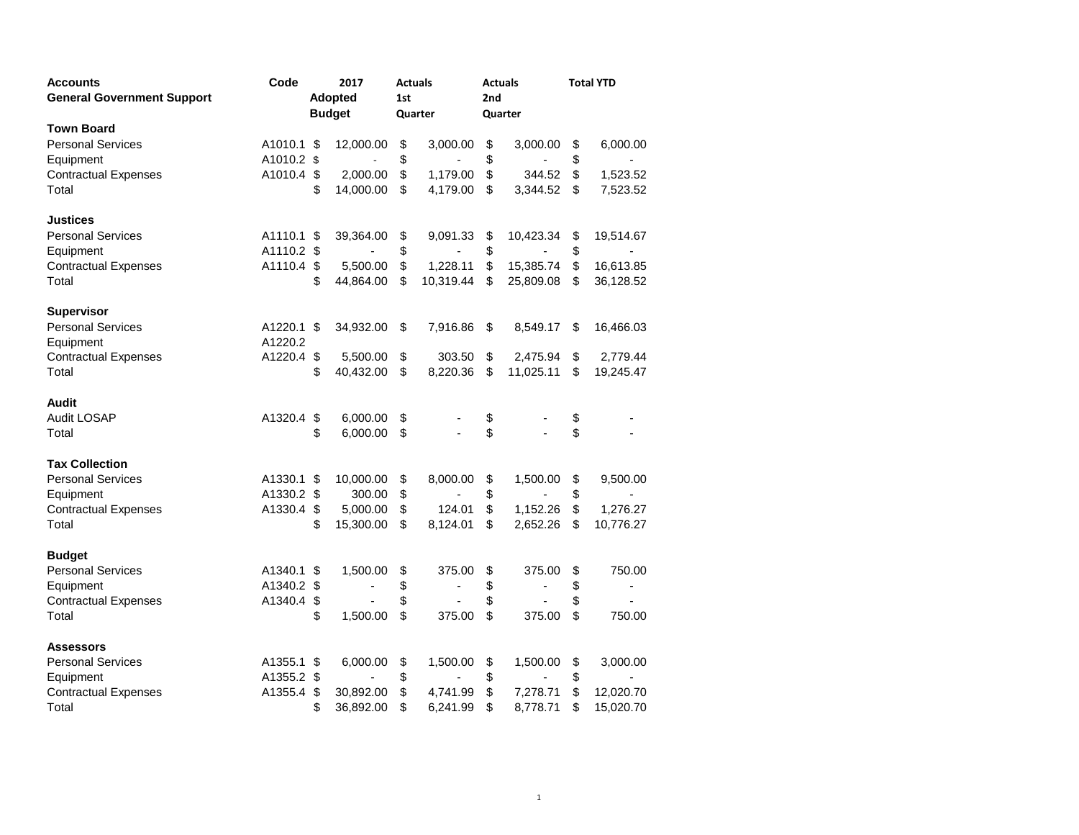| Accounts                          | Code                  | 2017 |                |     | <b>Actuals</b> |    | <b>Actuals</b>               | <b>Total YTD</b> |           |  |
|-----------------------------------|-----------------------|------|----------------|-----|----------------|----|------------------------------|------------------|-----------|--|
| <b>General Government Support</b> | <b>Adopted</b><br>1st |      |                | 2nd |                |    |                              |                  |           |  |
|                                   |                       |      | <b>Budget</b>  |     | Quarter        |    | Quarter                      |                  |           |  |
| <b>Town Board</b>                 |                       |      |                |     |                |    |                              |                  |           |  |
| <b>Personal Services</b>          | A1010.1               | S    | 12,000.00      | \$  | 3,000.00       | \$ | 3,000.00                     | \$               | 6,000.00  |  |
| Equipment                         | A1010.2 \$            |      |                | \$  |                | \$ |                              | \$               |           |  |
| <b>Contractual Expenses</b>       | A1010.4               | \$   | 2,000.00       | \$  | 1,179.00       | \$ | 344.52                       | \$               | 1,523.52  |  |
| Total                             |                       | \$   | 14,000.00      | \$  | 4,179.00       | \$ | 3,344.52                     | \$               | 7,523.52  |  |
| Justices                          |                       |      |                |     |                |    |                              |                  |           |  |
| <b>Personal Services</b>          | A1110.1               | S    | 39,364.00      | \$  | 9,091.33       | \$ | 10,423.34                    | \$               | 19,514.67 |  |
| Equipment                         | A1110.2               | \$   |                | \$  |                | \$ |                              | \$               |           |  |
| <b>Contractual Expenses</b>       | A1110.4               | \$   | 5,500.00       | \$  | 1,228.11       | \$ | 15,385.74                    | \$               | 16,613.85 |  |
| Total                             |                       | \$   | 44,864.00      | \$  | 10,319.44      | \$ | 25,809.08                    | \$               | 36,128.52 |  |
| <b>Supervisor</b>                 |                       |      |                |     |                |    |                              |                  |           |  |
| <b>Personal Services</b>          | A1220.1 \$            |      | 34,932.00      | \$  | 7,916.86       | \$ | 8,549.17                     | \$               | 16,466.03 |  |
| Equipment                         | A1220.2               |      |                |     |                |    |                              |                  |           |  |
| <b>Contractual Expenses</b>       | A1220.4               | \$   | 5,500.00       | \$  | 303.50         | \$ | 2,475.94                     | \$               | 2,779.44  |  |
| Total                             |                       | \$   | 40,432.00      | \$  | 8,220.36       | \$ | 11,025.11                    | \$               | 19,245.47 |  |
| Audit                             |                       |      |                |     |                |    |                              |                  |           |  |
| Audit LOSAP                       | A1320.4               | \$   | 6,000.00       | \$  |                | \$ |                              | \$               |           |  |
| Total                             |                       | \$   | 6,000.00       | \$  |                | \$ |                              | \$               |           |  |
| <b>Tax Collection</b>             |                       |      |                |     |                |    |                              |                  |           |  |
| <b>Personal Services</b>          | A1330.1               | S    | 10,000.00      | \$  | 8,000.00       | \$ | 1,500.00                     | \$               | 9,500.00  |  |
| Equipment                         | A1330.2 \$            |      | 300.00         | \$  |                | \$ |                              | \$               |           |  |
| <b>Contractual Expenses</b>       | A1330.4               | \$   | 5,000.00       | \$  | 124.01         | \$ | 1,152.26                     | \$               | 1,276.27  |  |
| Total                             |                       | \$   | 15,300.00      | \$  | 8,124.01       | \$ | 2,652.26                     | \$               | 10,776.27 |  |
| <b>Budget</b>                     |                       |      |                |     |                |    |                              |                  |           |  |
| <b>Personal Services</b>          | A1340.1               | S    | 1,500.00       | \$  | 375.00         | \$ | 375.00                       | \$               | 750.00    |  |
| Equipment                         | A1340.2               | \$   |                | \$  | ٠              | \$ | $\qquad \qquad \blacksquare$ | \$               |           |  |
| <b>Contractual Expenses</b>       | A1340.4               | \$   |                | \$  |                | \$ |                              | \$               |           |  |
| Total                             |                       | \$   | 1,500.00       | \$  | 375.00         | \$ | 375.00                       | \$               | 750.00    |  |
| Assessors                         |                       |      |                |     |                |    |                              |                  |           |  |
| <b>Personal Services</b>          | A1355.1               | \$   | 6,000.00       | \$  | 1,500.00       | \$ | 1,500.00                     | \$               | 3,000.00  |  |
| Equipment                         | A1355.2               | \$   | $\overline{a}$ | \$  | $\blacksquare$ | \$ | $\overline{a}$               | \$               |           |  |
| <b>Contractual Expenses</b>       | A1355.4               | S    | 30,892.00      | \$  | 4,741.99       | \$ | 7,278.71                     | \$               | 12,020.70 |  |
| Total                             |                       | \$   | 36,892.00      | \$  | 6,241.99       | \$ | 8,778.71                     | \$               | 15,020.70 |  |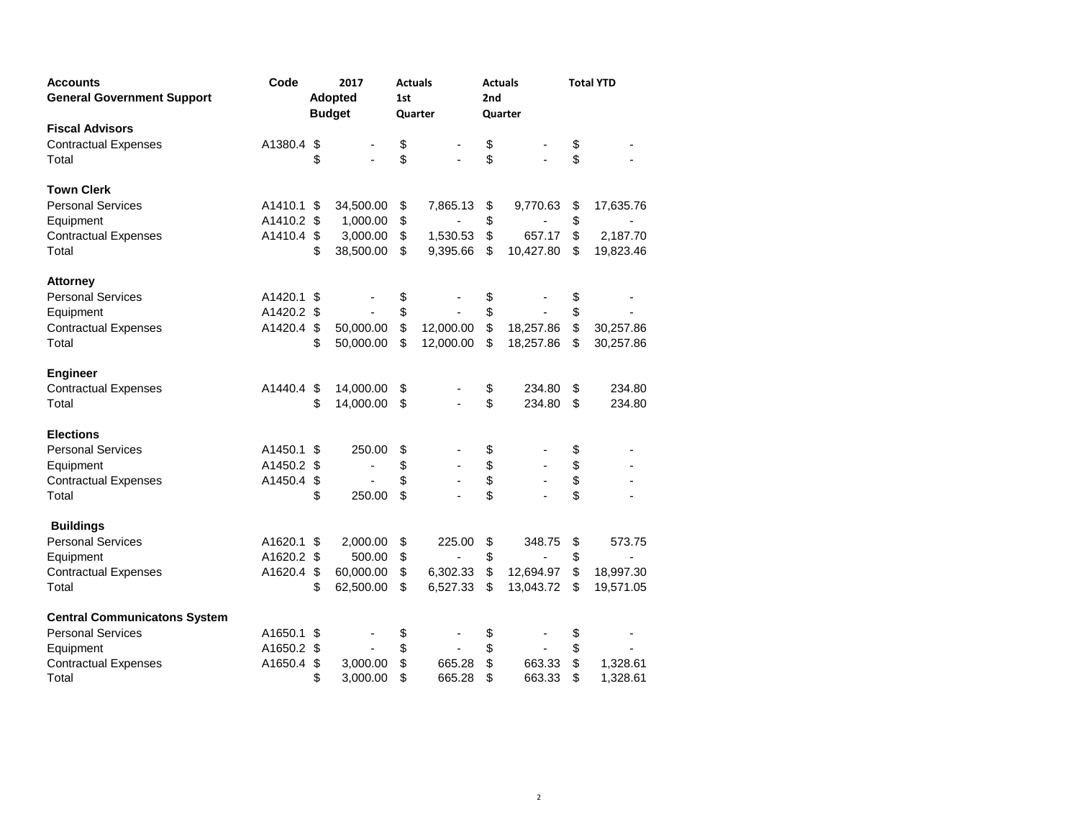| <b>Accounts</b>                     | Code       |    | 2017           |     | <b>Actuals</b> |     | <b>Actuals</b> | <b>Total YTD</b> |           |  |
|-------------------------------------|------------|----|----------------|-----|----------------|-----|----------------|------------------|-----------|--|
| <b>General Government Support</b>   |            |    | <b>Adopted</b> | 1st |                | 2nd |                |                  |           |  |
|                                     |            |    | <b>Budget</b>  |     | Quarter        |     | Quarter        |                  |           |  |
| <b>Fiscal Advisors</b>              |            |    |                |     |                |     |                |                  |           |  |
| <b>Contractual Expenses</b>         | A1380.4    | \$ |                | \$  |                | \$  |                | \$               |           |  |
| Total                               |            | \$ |                | \$  |                | \$  |                | \$               |           |  |
| <b>Town Clerk</b>                   |            |    |                |     |                |     |                |                  |           |  |
| <b>Personal Services</b>            | A1410.1 \$ |    | 34,500.00      | \$  | 7,865.13       | \$  | 9,770.63       | \$               | 17,635.76 |  |
| Equipment                           | A1410.2 \$ |    | 1,000.00       | \$  |                | \$  |                | \$               |           |  |
| <b>Contractual Expenses</b>         | A1410.4 \$ |    | 3,000.00       | \$  | 1,530.53       | \$  | 657.17         | \$               | 2,187.70  |  |
| Total                               |            | \$ | 38,500.00      | \$  | 9,395.66       | \$  | 10,427.80      | \$               | 19,823.46 |  |
| <b>Attorney</b>                     |            |    |                |     |                |     |                |                  |           |  |
| <b>Personal Services</b>            | A1420.1    | \$ |                | \$  |                | \$  |                | \$               |           |  |
| Equipment                           | A1420.2 \$ |    |                | \$  |                | \$  |                | \$               |           |  |
| <b>Contractual Expenses</b>         | A1420.4 \$ |    | 50,000.00      | \$  | 12,000.00      | \$  | 18,257.86      | \$               | 30,257.86 |  |
| Total                               |            | \$ | 50,000.00      | \$  | 12,000.00      | \$  | 18,257.86      | \$               | 30,257.86 |  |
| <b>Engineer</b>                     |            |    |                |     |                |     |                |                  |           |  |
| <b>Contractual Expenses</b>         | A1440.4    | \$ | 14,000.00      | \$  |                | \$  | 234.80         | \$               | 234.80    |  |
| Total                               |            | \$ | 14,000.00      | \$  |                | \$  | 234.80         | \$               | 234.80    |  |
| <b>Elections</b>                    |            |    |                |     |                |     |                |                  |           |  |
| <b>Personal Services</b>            | A1450.1 \$ |    | 250.00         | \$  |                | \$  |                | \$               |           |  |
| Equipment                           | A1450.2 \$ |    |                | \$  |                | \$  |                | \$               |           |  |
| <b>Contractual Expenses</b>         | A1450.4    | \$ |                | \$  |                | \$  |                | \$               |           |  |
| Total                               |            | \$ | 250.00         | \$  |                | \$  |                | \$               |           |  |
| <b>Buildings</b>                    |            |    |                |     |                |     |                |                  |           |  |
| <b>Personal Services</b>            | A1620.1    | S  | 2,000.00       | \$  | 225.00         | \$  | 348.75         | \$               | 573.75    |  |
| Equipment                           | A1620.2 \$ |    | 500.00         | \$  |                | \$  |                | \$               |           |  |
| <b>Contractual Expenses</b>         | A1620.4    | \$ | 60,000.00      | \$  | 6,302.33       | \$  | 12,694.97      | \$               | 18,997.30 |  |
| Total                               |            | \$ | 62,500.00      | \$  | 6,527.33       | \$  | 13,043.72      | \$               | 19,571.05 |  |
| <b>Central Communicatons System</b> |            |    |                |     |                |     |                |                  |           |  |
| <b>Personal Services</b>            | A1650.1    | \$ |                | \$  |                | \$  |                | \$               |           |  |
| Equipment                           | A1650.2    | \$ |                | \$  |                | \$  |                | \$               |           |  |
| <b>Contractual Expenses</b>         | A1650.4    | \$ | 3,000.00       | \$  | 665.28         | \$  | 663.33         | \$               | 1,328.61  |  |
| Total                               |            | \$ | 3,000.00       | \$  | 665.28         | \$  | 663.33         | \$               | 1,328.61  |  |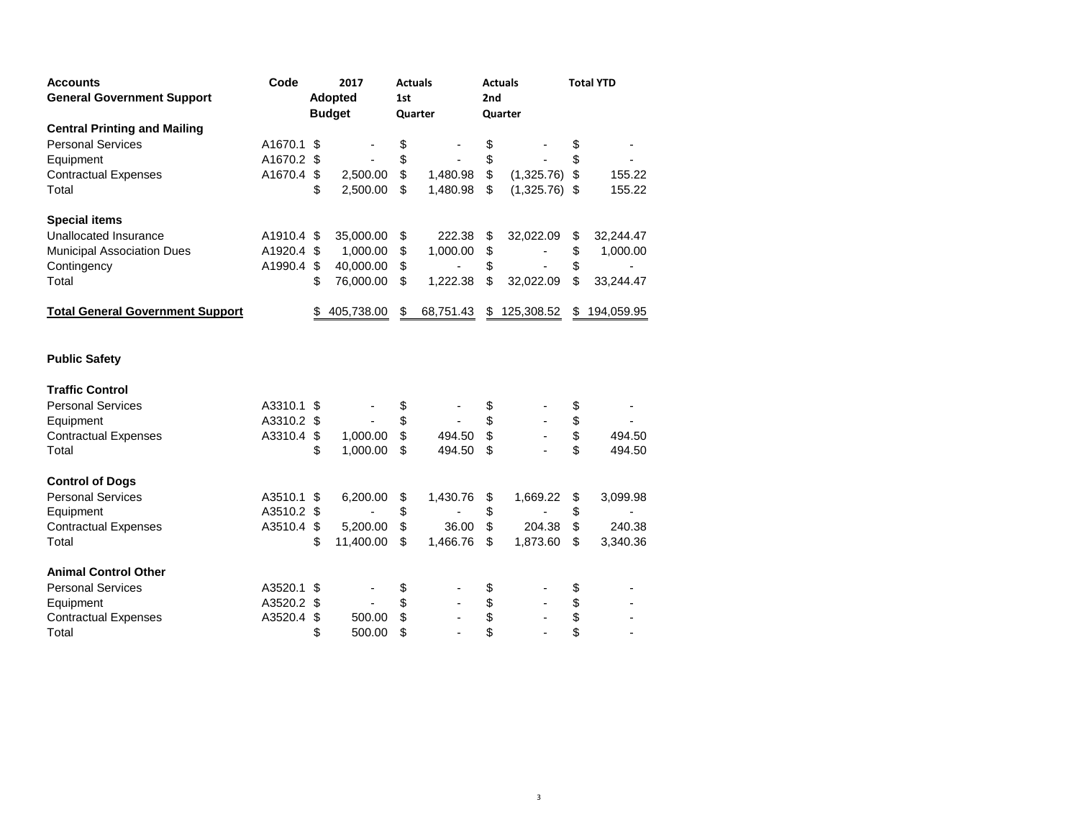| <b>Accounts</b>                         | Code       | 2017             |     | <b>Actuals</b> |      | <b>Actuals</b>  |    | <b>Total YTD</b> |
|-----------------------------------------|------------|------------------|-----|----------------|------|-----------------|----|------------------|
| <b>General Government Support</b>       |            | <b>Adopted</b>   | 1st |                | 2nd  |                 |    |                  |
|                                         |            | <b>Budget</b>    |     | Quarter        |      | Quarter         |    |                  |
| <b>Central Printing and Mailing</b>     |            |                  |     |                |      |                 |    |                  |
| <b>Personal Services</b>                | A1670.1    | \$               | \$  |                | \$   |                 | \$ |                  |
| Equipment                               | A1670.2 \$ |                  | \$  |                | \$   |                 | \$ |                  |
| <b>Contractual Expenses</b>             | A1670.4 \$ | 2,500.00         | \$  | 1,480.98       | $\,$ | $(1,325.76)$ \$ |    | 155.22           |
| Total                                   |            | \$<br>2,500.00   | \$  | 1,480.98       | \$   | $(1,325.76)$ \$ |    | 155.22           |
| <b>Special items</b>                    |            |                  |     |                |      |                 |    |                  |
| Unallocated Insurance                   | A1910.4 \$ | 35,000.00        | \$  | 222.38         | \$   | 32,022.09       | \$ | 32,244.47        |
| <b>Municipal Association Dues</b>       | A1920.4 \$ | 1,000.00         | \$  | 1,000.00       | \$   |                 | \$ | 1,000.00         |
| Contingency                             | A1990.4 \$ | 40,000.00        | \$  |                | \$   |                 | \$ |                  |
| Total                                   |            | \$<br>76,000.00  | \$  | 1,222.38       | \$   | 32,022.09       | \$ | 33,244.47        |
| <b>Total General Government Support</b> |            | \$<br>405,738.00 | \$  | 68,751.43      |      | \$125,308.52    |    | \$194,059.95     |
| <b>Public Safety</b>                    |            |                  |     |                |      |                 |    |                  |
| <b>Traffic Control</b>                  |            |                  |     |                |      |                 |    |                  |
| <b>Personal Services</b>                | A3310.1 \$ |                  | \$  |                | \$   |                 | \$ |                  |
| Equipment                               | A3310.2 \$ |                  | \$  |                | \$   |                 | \$ |                  |
| <b>Contractual Expenses</b>             | A3310.4 \$ | 1,000.00         | \$  | 494.50         | \$   |                 | \$ | 494.50           |
| Total                                   |            | \$<br>1,000.00   | \$  | 494.50         | \$   |                 | \$ | 494.50           |
| <b>Control of Dogs</b>                  |            |                  |     |                |      |                 |    |                  |
| <b>Personal Services</b>                | A3510.1 \$ | 6,200.00         | \$  | 1,430.76       | \$   | 1,669.22        | \$ | 3,099.98         |
| Equipment                               | A3510.2 \$ |                  | \$  |                | \$   |                 | \$ |                  |
| <b>Contractual Expenses</b>             | A3510.4 \$ | 5,200.00         | \$  | 36.00          | \$   | 204.38          | \$ | 240.38           |
| Total                                   |            | \$<br>11,400.00  | \$  | 1,466.76       | \$   | 1,873.60        | \$ | 3,340.36         |
| <b>Animal Control Other</b>             |            |                  |     |                |      |                 |    |                  |
| <b>Personal Services</b>                | A3520.1 \$ |                  | \$  |                | \$   |                 | \$ |                  |
| Equipment                               | A3520.2 \$ | ÷,               | \$  |                | \$   |                 | \$ |                  |
| <b>Contractual Expenses</b>             | A3520.4    | \$<br>500.00     | \$  |                | \$   |                 | \$ |                  |
| Total                                   |            | \$<br>500.00     | \$  |                | \$   |                 | \$ |                  |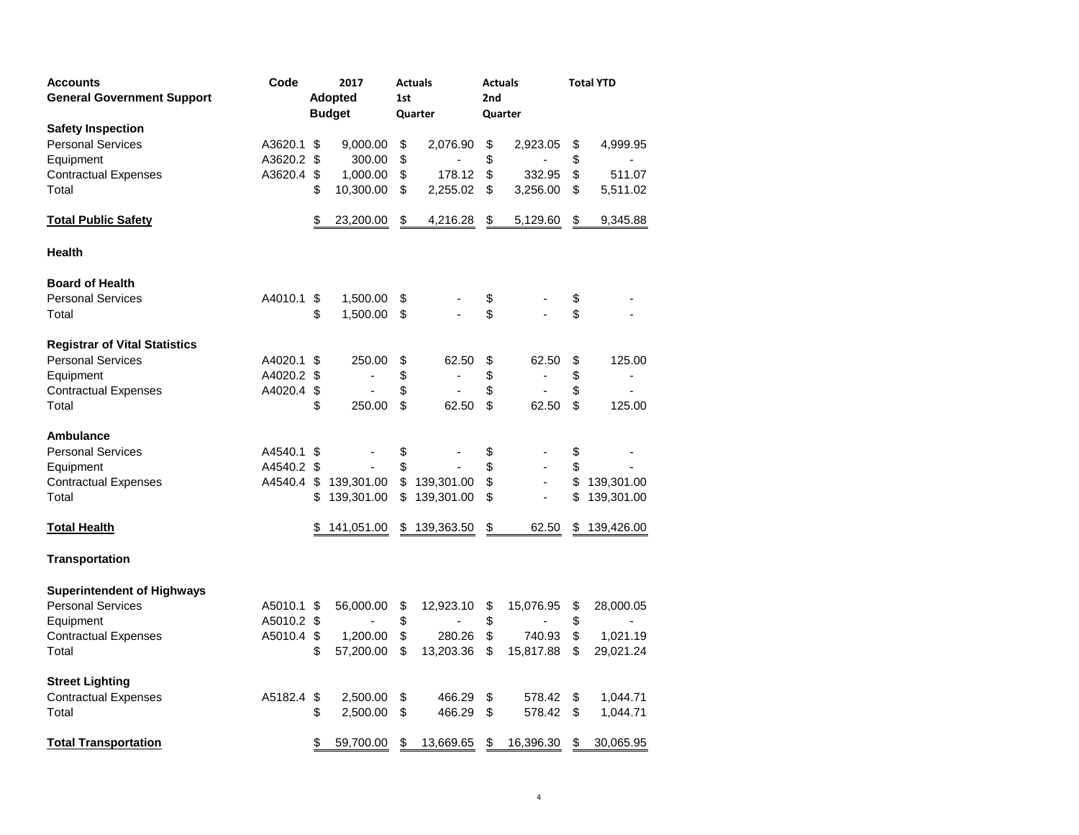| <b>Accounts</b>                      | Code       |    | 2017<br><b>Actuals</b> |     |                          | <b>Actuals</b> |                          |    | <b>Total YTD</b> |  |  |
|--------------------------------------|------------|----|------------------------|-----|--------------------------|----------------|--------------------------|----|------------------|--|--|
| <b>General Government Support</b>    |            |    | <b>Adopted</b>         | 1st |                          | 2nd            |                          |    |                  |  |  |
|                                      |            |    | <b>Budget</b>          |     | Quarter                  | Quarter        |                          |    |                  |  |  |
| <b>Safety Inspection</b>             |            |    |                        |     |                          |                |                          |    |                  |  |  |
| <b>Personal Services</b>             | A3620.1    | \$ | 9,000.00               | \$  | 2,076.90                 | \$             | 2,923.05                 | \$ | 4,999.95         |  |  |
| Equipment                            | A3620.2    | \$ | 300.00                 | \$  |                          | \$             |                          | \$ |                  |  |  |
| <b>Contractual Expenses</b>          | A3620.4    | \$ | 1,000.00               | \$  | 178.12                   | \$             | 332.95                   | \$ | 511.07           |  |  |
| Total                                |            | \$ | 10,300.00              | \$  | 2,255.02                 | \$             | 3,256.00                 | \$ | 5,511.02         |  |  |
| <b>Total Public Safety</b>           |            | \$ | 23,200.00              | \$  | 4,216.28                 | \$             | 5,129.60                 | \$ | 9,345.88         |  |  |
| <b>Health</b>                        |            |    |                        |     |                          |                |                          |    |                  |  |  |
| <b>Board of Health</b>               |            |    |                        |     |                          |                |                          |    |                  |  |  |
| <b>Personal Services</b>             | A4010.1    | \$ | 1,500.00               | \$  |                          | \$             |                          | \$ |                  |  |  |
| Total                                |            | \$ | 1,500.00               | \$  |                          | \$             |                          | \$ |                  |  |  |
| <b>Registrar of Vital Statistics</b> |            |    |                        |     |                          |                |                          |    |                  |  |  |
| <b>Personal Services</b>             | A4020.1    | \$ | 250.00                 | \$  | 62.50                    | \$             | 62.50                    | \$ | 125.00           |  |  |
| Equipment                            | A4020.2 \$ |    | $\overline{a}$         | \$  | $\overline{\phantom{a}}$ | \$             | ٠                        | \$ | ٠                |  |  |
| <b>Contractual Expenses</b>          | A4020.4    | \$ |                        | \$  | ä,                       | \$             | $\overline{\phantom{a}}$ | \$ |                  |  |  |
| Total                                |            | \$ | 250.00                 | \$  | 62.50                    | \$             | 62.50                    | \$ | 125.00           |  |  |
| Ambulance                            |            |    |                        |     |                          |                |                          |    |                  |  |  |
| <b>Personal Services</b>             | A4540.1    | S  |                        | \$  |                          | \$             |                          | \$ |                  |  |  |
| Equipment                            | A4540.2    | S  |                        | \$  |                          | \$             | ٠                        | \$ |                  |  |  |
| <b>Contractual Expenses</b>          | A4540.4 \$ |    | 139,301.00             | \$  | 139,301.00               | \$             | $\overline{\phantom{a}}$ | \$ | 139,301.00       |  |  |
| Total                                |            | \$ | 139,301.00             | \$  | 139,301.00               | \$             | $\overline{\phantom{a}}$ | \$ | 139,301.00       |  |  |
| <b>Total Health</b>                  |            | \$ | 141,051.00             | \$  | 139,363.50               | \$             | 62.50                    | S  | 139,426.00       |  |  |
| Transportation                       |            |    |                        |     |                          |                |                          |    |                  |  |  |
| <b>Superintendent of Highways</b>    |            |    |                        |     |                          |                |                          |    |                  |  |  |
| <b>Personal Services</b>             | A5010.1    | S  | 56,000.00              | \$  | 12,923.10                | \$             | 15,076.95                | \$ | 28,000.05        |  |  |
| Equipment                            | A5010.2 \$ |    |                        | \$  | ٠                        | \$             | ٠                        | \$ | ٠                |  |  |
| <b>Contractual Expenses</b>          | A5010.4    | \$ | 1,200.00               | \$  | 280.26                   | \$             | 740.93                   | \$ | 1,021.19         |  |  |
| Total                                |            | \$ | 57,200.00              | \$  | 13,203.36                | \$             | 15,817.88                | \$ | 29,021.24        |  |  |
| <b>Street Lighting</b>               |            |    |                        |     |                          |                |                          |    |                  |  |  |
| <b>Contractual Expenses</b>          | A5182.4    | \$ | 2,500.00               | \$  | 466.29                   | \$             | 578.42                   | \$ | 1,044.71         |  |  |
| Total                                |            | \$ | 2,500.00               | \$  | 466.29                   | \$             | 578.42                   | \$ | 1,044.71         |  |  |
| <b>Total Transportation</b>          |            | \$ | 59,700.00              | \$  | 13,669.65                | \$             | 16,396.30                | \$ | 30,065.95        |  |  |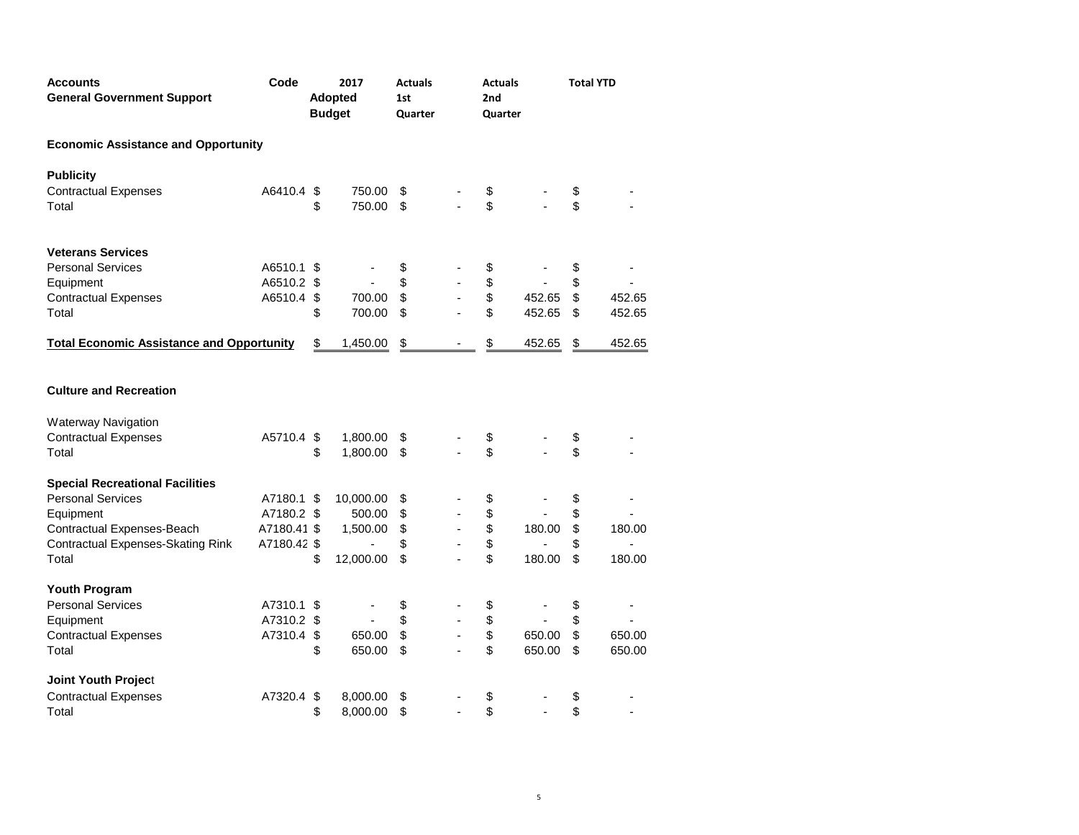| <b>Accounts</b><br><b>General Government Support</b> | Code        | 2017<br>Adopted<br><b>Budget</b> |             | <b>Actuals</b><br>1st<br>Quarter |                          | <b>Actuals</b><br>2nd<br>Quarter |        | <b>Total YTD</b>    |
|------------------------------------------------------|-------------|----------------------------------|-------------|----------------------------------|--------------------------|----------------------------------|--------|---------------------|
| <b>Economic Assistance and Opportunity</b>           |             |                                  |             |                                  |                          |                                  |        |                     |
| <b>Publicity</b>                                     |             |                                  |             |                                  |                          |                                  |        |                     |
| <b>Contractual Expenses</b>                          | A6410.4 \$  |                                  | 750.00      | \$                               |                          | \$                               |        | \$                  |
| Total                                                |             | \$                               | 750.00      | \$                               |                          | \$                               |        | \$                  |
| <b>Veterans Services</b>                             |             |                                  |             |                                  |                          |                                  |        |                     |
| <b>Personal Services</b>                             | A6510.1 \$  |                                  |             | \$                               |                          | \$                               |        | \$                  |
| Equipment                                            | A6510.2 \$  |                                  |             | \$                               |                          | \$                               |        | \$                  |
| <b>Contractual Expenses</b>                          | A6510.4     | \$                               | 700.00      | \$                               |                          | $\mathbb{S}$                     | 452.65 | \$<br>452.65        |
| Total                                                |             | \$                               | 700.00      | \$                               |                          | \$                               | 452.65 | \$<br>452.65        |
| <b>Total Economic Assistance and Opportunity</b>     |             | \$                               | 1,450.00    | $\frac{1}{2}$                    |                          | \$                               | 452.65 | \$<br>452.65        |
| <b>Culture and Recreation</b>                        |             |                                  |             |                                  |                          |                                  |        |                     |
|                                                      |             |                                  |             |                                  |                          |                                  |        |                     |
| <b>Waterway Navigation</b>                           |             |                                  |             |                                  |                          |                                  |        |                     |
| <b>Contractual Expenses</b>                          | A5710.4 \$  |                                  | 1,800.00    | \$                               |                          | \$                               |        | \$                  |
| Total                                                |             | \$                               | 1,800.00 \$ |                                  |                          | \$                               |        | \$                  |
| <b>Special Recreational Facilities</b>               |             |                                  |             |                                  |                          |                                  |        |                     |
| <b>Personal Services</b>                             | A7180.1 \$  |                                  | 10,000.00   | \$                               |                          | \$                               |        | \$                  |
| Equipment                                            | A7180.2 \$  |                                  | 500.00      | \$                               |                          | \$                               |        | \$                  |
| Contractual Expenses-Beach                           | A7180.41 \$ |                                  | 1,500.00    | \$                               |                          | \$                               | 180.00 | \$<br>180.00        |
| <b>Contractual Expenses-Skating Rink</b>             | A7180.42 \$ |                                  | ÷,          | \$                               |                          | \$                               |        | \$<br>$\frac{1}{2}$ |
| Total                                                |             | \$                               | 12,000.00   | \$                               |                          | \$                               | 180.00 | \$<br>180.00        |
| Youth Program                                        |             |                                  |             |                                  |                          |                                  |        |                     |
| <b>Personal Services</b>                             | A7310.1 \$  |                                  |             | \$                               |                          | \$                               |        | \$<br>-             |
| Equipment                                            | A7310.2 \$  |                                  |             | \$                               | $\overline{\phantom{a}}$ | \$                               |        | \$                  |
| <b>Contractual Expenses</b>                          | A7310.4     | \$                               | 650.00      | \$                               |                          | \$                               | 650.00 | \$<br>650.00        |
| Total                                                |             | \$                               | 650.00      | \$                               |                          | \$                               | 650.00 | \$<br>650.00        |
| Joint Youth Project                                  |             |                                  |             |                                  |                          |                                  |        |                     |
| <b>Contractual Expenses</b>                          | A7320.4     | \$                               | 8,000.00    | \$                               |                          | \$                               |        | \$                  |
| Total                                                |             | \$                               | 8,000.00    | \$                               |                          | \$                               |        | \$                  |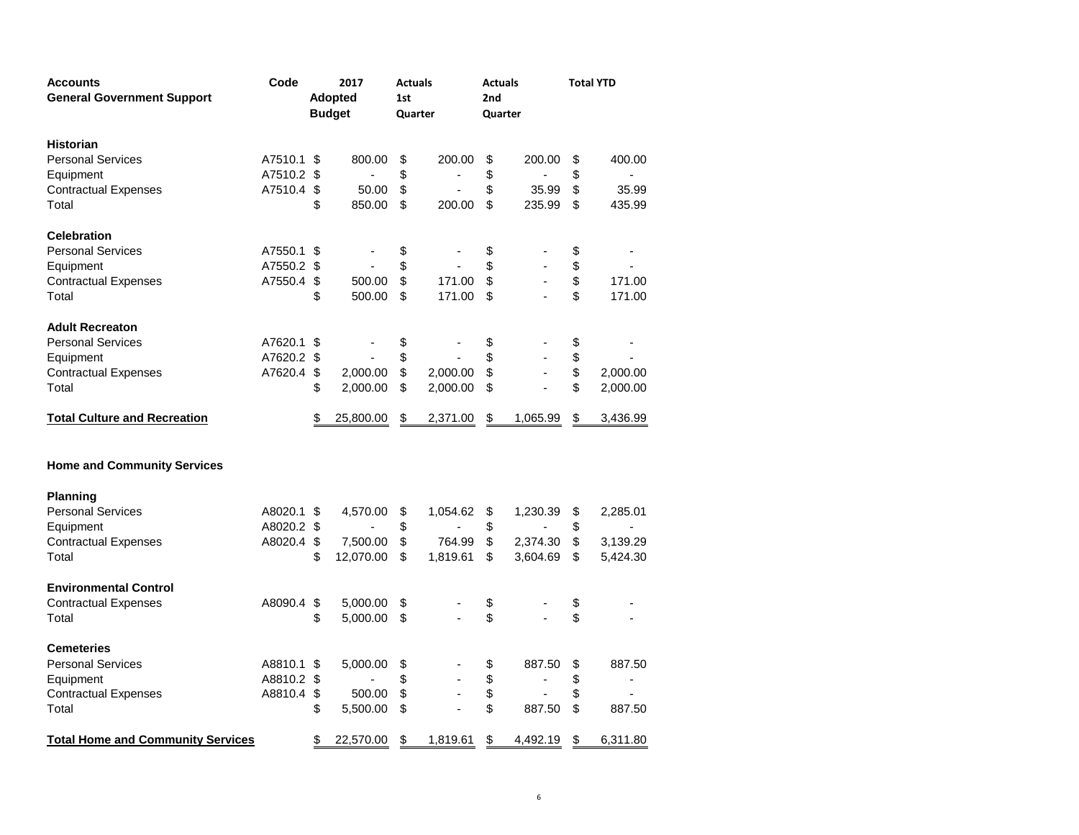| <b>Accounts</b><br><b>General Government Support</b> | Code       | 2017<br><b>Adopted</b><br><b>Budget</b> |           | <b>Actuals</b><br>1st<br>Quarter |          | <b>Actuals</b><br>2nd<br>Quarter |                          | <b>Total YTD</b> |                |  |
|------------------------------------------------------|------------|-----------------------------------------|-----------|----------------------------------|----------|----------------------------------|--------------------------|------------------|----------------|--|
| <b>Historian</b>                                     |            |                                         |           |                                  |          |                                  |                          |                  |                |  |
| <b>Personal Services</b>                             | A7510.1    | \$                                      | 800.00    | \$                               | 200.00   | \$                               | 200.00                   | \$               | 400.00         |  |
| Equipment                                            | A7510.2 \$ |                                         | ä,        | \$                               | ٠        | \$                               |                          | \$               |                |  |
| <b>Contractual Expenses</b>                          | A7510.4    | \$                                      | 50.00     | \$                               |          | \$                               | 35.99                    | \$               | 35.99          |  |
| Total                                                |            | \$                                      | 850.00    | \$                               | 200.00   | \$                               | 235.99                   | \$               | 435.99         |  |
| <b>Celebration</b>                                   |            |                                         |           |                                  |          |                                  |                          |                  |                |  |
| <b>Personal Services</b>                             | A7550.1    | \$                                      |           | \$                               |          | \$                               |                          | \$               |                |  |
| Equipment                                            | A7550.2 \$ |                                         | ÷,        | \$                               |          | \$                               |                          | \$               |                |  |
| <b>Contractual Expenses</b>                          | A7550.4 \$ |                                         | 500.00    | \$                               | 171.00   | \$                               |                          | \$               | 171.00         |  |
| Total                                                |            | \$                                      | 500.00    | \$                               | 171.00   | \$                               |                          | \$               | 171.00         |  |
| <b>Adult Recreaton</b>                               |            |                                         |           |                                  |          |                                  |                          |                  |                |  |
| <b>Personal Services</b>                             | A7620.1 \$ |                                         |           | \$                               |          | \$                               |                          | \$               |                |  |
| Equipment                                            | A7620.2 \$ |                                         |           | \$                               |          | \$                               |                          | \$               |                |  |
| <b>Contractual Expenses</b>                          | A7620.4    | \$                                      | 2,000.00  | \$                               | 2,000.00 | \$                               |                          | \$               | 2,000.00       |  |
| Total                                                |            | \$                                      | 2,000.00  | \$                               | 2,000.00 | \$                               |                          | \$               | 2,000.00       |  |
| <b>Total Culture and Recreation</b>                  |            | S                                       | 25,800.00 | \$                               | 2,371.00 | \$                               | 1,065.99                 | \$               | 3,436.99       |  |
| <b>Home and Community Services</b>                   |            |                                         |           |                                  |          |                                  |                          |                  |                |  |
| <b>Planning</b>                                      |            |                                         |           |                                  |          |                                  |                          |                  |                |  |
| <b>Personal Services</b>                             | A8020.1 \$ |                                         | 4,570.00  | \$                               | 1,054.62 | \$                               | 1,230.39                 | \$               | 2,285.01       |  |
| Equipment                                            | A8020.2 \$ |                                         | ä,        | \$                               | ä,       | \$                               | $\overline{a}$           | \$               | $\sim$         |  |
| <b>Contractual Expenses</b>                          | A8020.4 \$ |                                         | 7,500.00  | \$                               | 764.99   | \$                               | 2,374.30                 | \$               | 3,139.29       |  |
| Total                                                |            | \$                                      | 12,070.00 | \$                               | 1,819.61 | \$                               | 3,604.69                 | \$               | 5,424.30       |  |
| <b>Environmental Control</b>                         |            |                                         |           |                                  |          |                                  |                          |                  |                |  |
| <b>Contractual Expenses</b>                          | A8090.4    | \$                                      | 5,000.00  | \$                               |          | \$                               |                          | \$               |                |  |
| Total                                                |            | \$                                      | 5,000.00  | \$                               |          | \$                               |                          | \$               |                |  |
| <b>Cemeteries</b>                                    |            |                                         |           |                                  |          |                                  |                          |                  |                |  |
| <b>Personal Services</b>                             | A8810.1    | \$                                      | 5,000.00  | \$                               |          | \$                               | 887.50                   | \$               | 887.50         |  |
| Equipment                                            | A8810.2 \$ |                                         |           | \$                               |          | \$                               | $\overline{\phantom{a}}$ | \$               | $\overline{a}$ |  |
| <b>Contractual Expenses</b>                          | A8810.4    | $\sqrt[6]{\frac{1}{2}}$                 | 500.00    | \$                               |          | \$                               | $\overline{\phantom{a}}$ | \$               |                |  |
| Total                                                |            | \$                                      | 5,500.00  | \$                               |          | \$                               | 887.50                   | \$               | 887.50         |  |
| <b>Total Home and Community Services</b>             |            | \$                                      | 22,570.00 | \$                               | 1,819.61 | \$                               | 4,492.19                 | $\frac{1}{2}$    | 6,311.80       |  |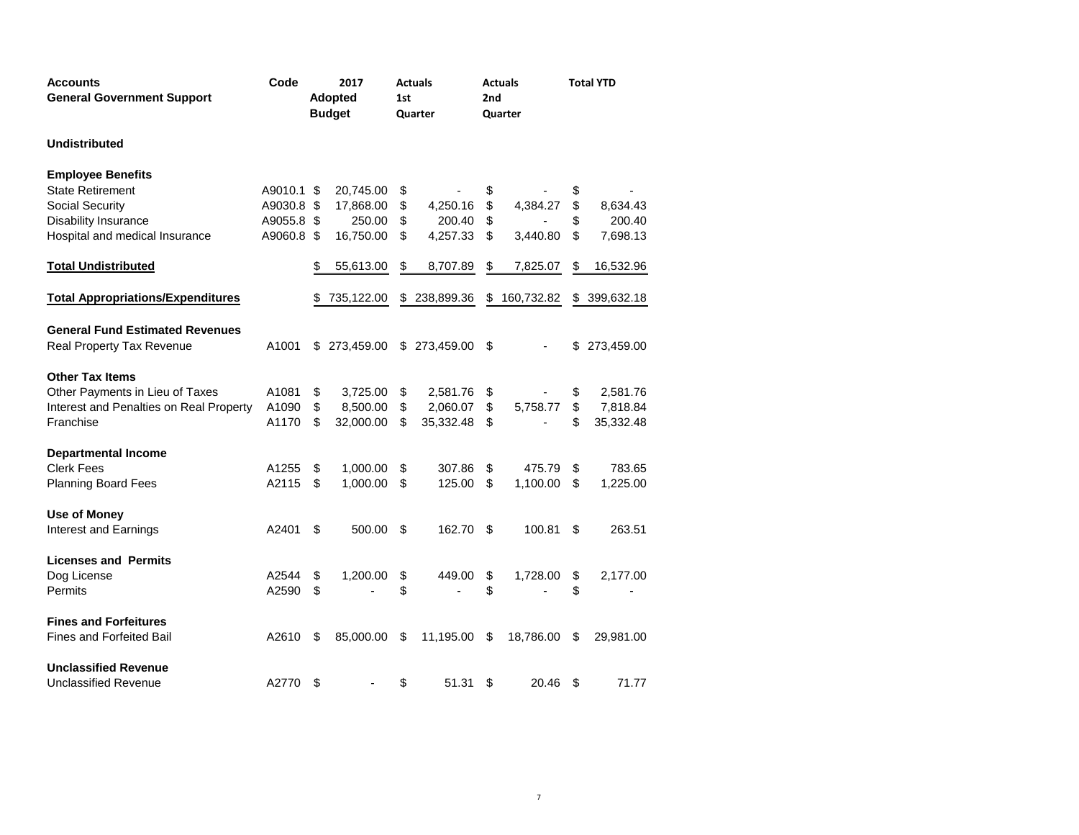| <b>Accounts</b>                          | Code       | 2017           |               | <b>Actuals</b> |               |     | <b>Actuals</b> | <b>Total YTD</b> |            |  |
|------------------------------------------|------------|----------------|---------------|----------------|---------------|-----|----------------|------------------|------------|--|
| <b>General Government Support</b>        |            | <b>Adopted</b> |               |                | 1st           | 2nd |                |                  |            |  |
|                                          |            |                | <b>Budget</b> |                | Quarter       |     | Quarter        |                  |            |  |
| <b>Undistributed</b>                     |            |                |               |                |               |     |                |                  |            |  |
| <b>Employee Benefits</b>                 |            |                |               |                |               |     |                |                  |            |  |
| <b>State Retirement</b>                  | A9010.1    | \$             | 20,745.00     | \$             |               | \$  |                | \$               |            |  |
| Social Security                          | A9030.8    | \$             | 17,868.00     | \$             | 4,250.16      | \$  | 4,384.27       | \$               | 8,634.43   |  |
| <b>Disability Insurance</b>              | A9055.8    | \$             | 250.00        | \$             | 200.40        | \$  |                | \$               | 200.40     |  |
| Hospital and medical Insurance           | A9060.8 \$ |                | 16,750.00     | \$             | 4,257.33      | \$  | 3,440.80       | \$               | 7,698.13   |  |
| <b>Total Undistributed</b>               |            | \$             | 55,613.00     | \$             | 8,707.89      | \$  | 7,825.07       | \$               | 16,532.96  |  |
| <b>Total Appropriations/Expenditures</b> |            | \$             | 735,122.00    | S              | 238,899.36    | \$  | 160,732.82     | \$               | 399,632.18 |  |
| <b>General Fund Estimated Revenues</b>   |            |                |               |                |               |     |                |                  |            |  |
| Real Property Tax Revenue                | A1001      | S              | 273,459.00    |                | \$ 273,459.00 | \$  |                |                  | 273,459.00 |  |
| <b>Other Tax Items</b>                   |            |                |               |                |               |     |                |                  |            |  |
| Other Payments in Lieu of Taxes          | A1081      | \$             | 3,725.00      | \$             | 2,581.76      | \$  |                | \$               | 2,581.76   |  |
| Interest and Penalties on Real Property  | A1090      | \$             | 8,500.00      | \$             | 2,060.07      | \$  | 5,758.77       | \$               | 7,818.84   |  |
| Franchise                                | A1170      | \$             | 32,000.00     | \$             | 35,332.48     | \$  |                | \$               | 35,332.48  |  |
| <b>Departmental Income</b>               |            |                |               |                |               |     |                |                  |            |  |
| <b>Clerk Fees</b>                        | A1255      | \$             | 1,000.00      | \$             | 307.86        | \$  | 475.79         | \$               | 783.65     |  |
| Planning Board Fees                      | A2115      | \$             | 1,000.00      | \$             | 125.00        | \$  | 1,100.00       | \$               | 1,225.00   |  |
| <b>Use of Money</b>                      |            |                |               |                |               |     |                |                  |            |  |
| Interest and Earnings                    | A2401      | S              | 500.00        | \$             | 162.70        | S   | 100.81         | S                | 263.51     |  |
| <b>Licenses and Permits</b>              |            |                |               |                |               |     |                |                  |            |  |
| Dog License                              | A2544      | \$             | 1,200.00      | \$             | 449.00        | \$  | 1,728.00       | \$               | 2,177.00   |  |
| Permits                                  | A2590      | \$             |               | \$             |               | \$  |                | \$               |            |  |
| <b>Fines and Forfeitures</b>             |            |                |               |                |               |     |                |                  |            |  |
| <b>Fines and Forfeited Bail</b>          | A2610      | \$             | 85,000.00     | \$             | 11,195.00     | \$  | 18,786.00      | \$               | 29,981.00  |  |
| <b>Unclassified Revenue</b>              |            |                |               |                |               |     |                |                  |            |  |
| <b>Unclassified Revenue</b>              | A2770      | \$             |               | \$             | 51.31         | \$  | 20.46          | \$               | 71.77      |  |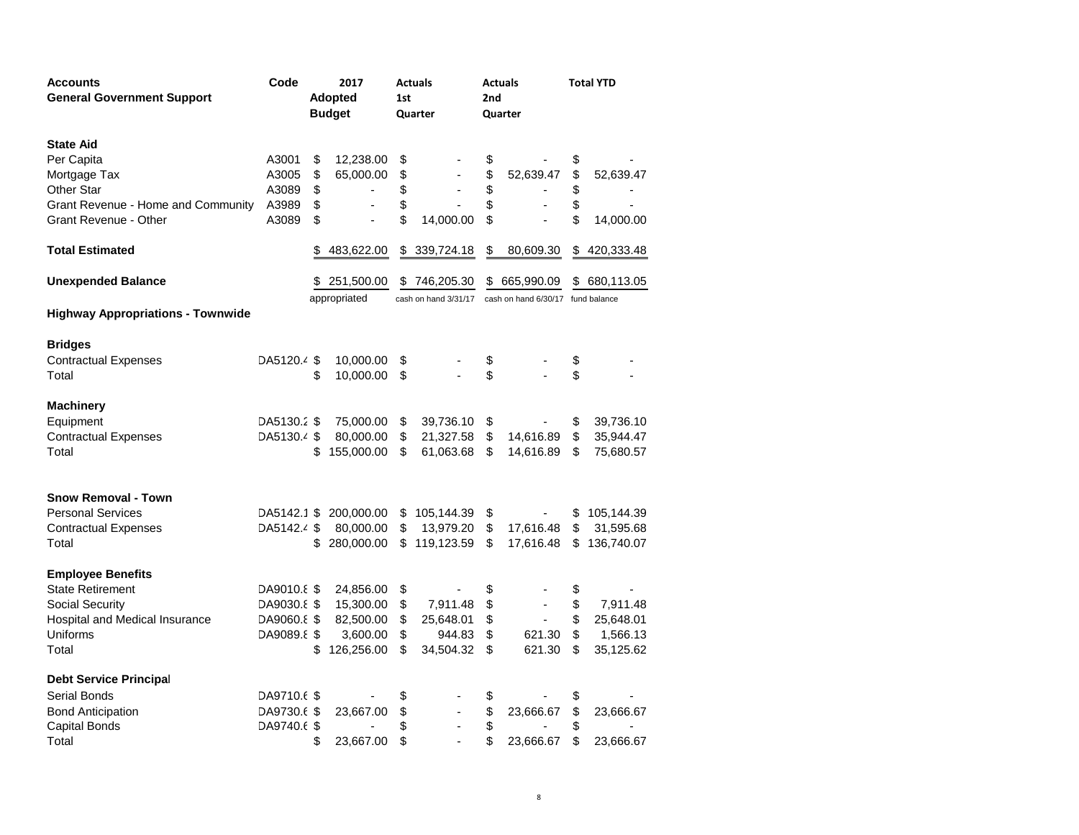| <b>Accounts</b>                          | Code        | 2017                           | <b>Actuals</b>       |    | <b>Actuals</b>                    |                         | <b>Total YTD</b> |
|------------------------------------------|-------------|--------------------------------|----------------------|----|-----------------------------------|-------------------------|------------------|
| <b>General Government Support</b>        |             | <b>Adopted</b>                 | 1st                  |    | 2nd                               |                         |                  |
|                                          |             | <b>Budget</b>                  | Quarter              |    | Quarter                           |                         |                  |
|                                          |             |                                |                      |    |                                   |                         |                  |
| <b>State Aid</b>                         |             |                                |                      |    |                                   |                         |                  |
| Per Capita                               | A3001       | \$<br>12,238.00                | \$                   | \$ |                                   | \$                      |                  |
| Mortgage Tax                             | A3005       | \$<br>65,000.00                | \$                   | \$ | 52,639.47                         | \$                      | 52,639.47        |
| <b>Other Star</b>                        | A3089       | \$<br>$\overline{\phantom{a}}$ | \$                   | \$ |                                   | \$                      |                  |
| Grant Revenue - Home and Community       | A3989       | \$                             | \$                   | \$ |                                   | \$                      |                  |
| <b>Grant Revenue - Other</b>             | A3089       | \$                             | \$<br>14,000.00      | \$ |                                   | \$                      | 14,000.00        |
| <b>Total Estimated</b>                   |             | \$<br>483,622.00               | \$<br>339,724.18     | \$ | 80,609.30                         |                         | \$420,333.48     |
| <b>Unexpended Balance</b>                |             | \$251,500.00                   | \$<br>746,205.30     | \$ | 665,990.09                        | \$                      | 680,113.05       |
|                                          |             | appropriated                   | cash on hand 3/31/17 |    | cash on hand 6/30/17 fund balance |                         |                  |
| <b>Highway Appropriations - Townwide</b> |             |                                |                      |    |                                   |                         |                  |
|                                          |             |                                |                      |    |                                   |                         |                  |
| <b>Bridges</b>                           |             |                                |                      |    |                                   |                         |                  |
| <b>Contractual Expenses</b>              | DA5120.4 \$ | 10,000.00                      | \$                   | \$ |                                   | \$                      |                  |
| Total                                    |             | \$<br>10,000.00                | \$                   | \$ |                                   | \$                      |                  |
| <b>Machinery</b>                         |             |                                |                      |    |                                   |                         |                  |
| Equipment                                | DA5130.2 \$ | 75,000.00                      | \$<br>39,736.10      | \$ |                                   | \$                      | 39,736.10        |
| <b>Contractual Expenses</b>              | DA5130.4 \$ | 80,000.00                      | \$<br>21,327.58      | \$ | 14,616.89                         | $\sqrt[6]{\frac{1}{2}}$ | 35,944.47        |
| Total                                    |             | \$<br>155,000.00               | \$<br>61,063.68      | \$ | 14,616.89                         | \$                      | 75,680.57        |
|                                          |             |                                |                      |    |                                   |                         |                  |
| <b>Snow Removal - Town</b>               |             |                                |                      |    |                                   |                         |                  |
| <b>Personal Services</b>                 | DA5142.1 \$ | 200,000.00                     | \$<br>105,144.39     |    |                                   |                         | 105,144.39       |
|                                          | DA5142.4 \$ | 80,000.00                      |                      | \$ | 17,616.48                         | \$                      |                  |
| <b>Contractual Expenses</b>              |             |                                | \$<br>13,979.20      | \$ |                                   | \$                      | 31,595.68        |
| Total                                    |             | \$<br>280,000.00               | \$<br>119,123.59     | \$ | 17,616.48                         | \$                      | 136,740.07       |
| <b>Employee Benefits</b>                 |             |                                |                      |    |                                   |                         |                  |
| <b>State Retirement</b>                  | DA9010.8 \$ | 24,856.00                      | \$                   | \$ |                                   | \$                      |                  |
| <b>Social Security</b>                   | DA9030.8 \$ | 15,300.00                      | \$<br>7,911.48       | \$ |                                   | \$                      | 7,911.48         |
| Hospital and Medical Insurance           | DA9060.8 \$ | 82,500.00                      | \$<br>25,648.01      | \$ | $\blacksquare$                    | \$                      | 25,648.01        |
| Uniforms                                 | DA9089.8 \$ | 3,600.00                       | \$<br>944.83         | \$ | 621.30                            | \$                      | 1,566.13         |
| Total                                    |             | \$<br>126,256.00               | \$<br>34,504.32      | \$ | 621.30                            | \$                      | 35,125.62        |
| <b>Debt Service Principal</b>            |             |                                |                      |    |                                   |                         |                  |
| Serial Bonds                             | DA9710.6 \$ |                                |                      |    |                                   |                         |                  |
|                                          |             |                                | \$                   | \$ |                                   | \$                      |                  |
| <b>Bond Anticipation</b>                 | DA9730.6 \$ | 23,667.00                      | \$                   | \$ | 23,666.67                         | \$                      | 23,666.67        |
| Capital Bonds                            | DA9740.6 \$ |                                | \$                   | \$ |                                   | \$                      |                  |
| Total                                    |             | \$<br>23,667.00                | \$                   | \$ | 23,666.67                         | \$                      | 23,666.67        |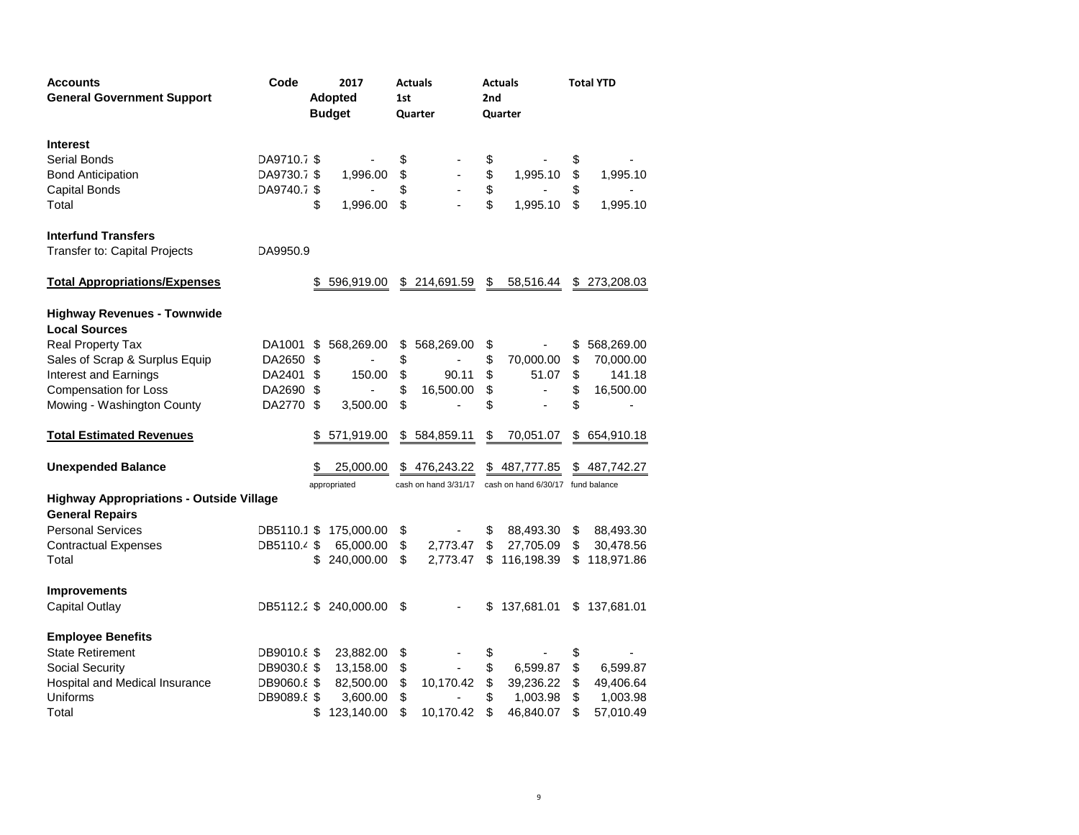| <b>Accounts</b>                                 | Code<br>2017   |     |                        |         | <b>Actuals</b>       |     | <b>Actuals</b>                    | <b>Total YTD</b> |                |  |
|-------------------------------------------------|----------------|-----|------------------------|---------|----------------------|-----|-----------------------------------|------------------|----------------|--|
| <b>General Government Support</b>               | <b>Adopted</b> |     |                        | 1st     |                      | 2nd |                                   |                  |                |  |
|                                                 |                |     | <b>Budget</b>          | Quarter |                      |     | Quarter                           |                  |                |  |
| <b>Interest</b>                                 |                |     |                        |         |                      |     |                                   |                  |                |  |
| <b>Serial Bonds</b>                             | DA9710.7 \$    |     |                        | \$      |                      | \$  |                                   | \$               |                |  |
| <b>Bond Anticipation</b>                        | DA9730.7 \$    |     | 1,996.00               | \$      |                      | \$  | 1,995.10                          | \$               | 1,995.10       |  |
| Capital Bonds                                   | DA9740.7 \$    |     |                        | \$      |                      | \$  |                                   | \$               |                |  |
| Total                                           |                | \$  | 1,996.00               | \$      |                      | \$  | 1,995.10                          | \$               | 1,995.10       |  |
| <b>Interfund Transfers</b>                      |                |     |                        |         |                      |     |                                   |                  |                |  |
| Transfer to: Capital Projects                   | DA9950.9       |     |                        |         |                      |     |                                   |                  |                |  |
| <b>Total Appropriations/Expenses</b>            |                |     | 596,919.00             |         | \$214,691.59         | \$  | 58,516.44                         |                  | \$273,208.03   |  |
| <b>Highway Revenues - Townwide</b>              |                |     |                        |         |                      |     |                                   |                  |                |  |
| <b>Local Sources</b>                            |                |     |                        |         |                      |     |                                   |                  |                |  |
| <b>Real Property Tax</b>                        | DA1001         | \$  | 568,269.00             | \$      | 568,269.00           | \$  |                                   | \$               | 568,269.00     |  |
| Sales of Scrap & Surplus Equip                  | DA2650         | \$  |                        | \$      | ٠                    | \$  | 70,000.00                         | \$               | 70,000.00      |  |
| Interest and Earnings                           | DA2401 \$      |     | 150.00                 | \$      | 90.11                | \$  | 51.07                             | \$               | 141.18         |  |
| <b>Compensation for Loss</b>                    | DA2690 \$      |     | $\blacksquare$         | \$      | 16,500.00            | \$  | $\overline{\phantom{a}}$          | \$               | 16,500.00      |  |
| Mowing - Washington County                      | DA2770 \$      |     | 3,500.00               | \$      |                      | \$  | ÷.                                | \$               | $\overline{a}$ |  |
| <b>Total Estimated Revenues</b>                 |                |     | 571,919.00             |         | \$584,859.11         | \$  | 70,051.07                         | \$               | 654,910.18     |  |
| <b>Unexpended Balance</b>                       |                |     | 25,000.00              |         | \$476,243.22         |     | \$487,777.85                      | \$               | 487,742.27     |  |
|                                                 |                |     | appropriated           |         | cash on hand 3/31/17 |     | cash on hand 6/30/17 fund balance |                  |                |  |
| <b>Highway Appropriations - Outside Village</b> |                |     |                        |         |                      |     |                                   |                  |                |  |
| <b>General Repairs</b>                          |                |     |                        |         |                      |     |                                   |                  |                |  |
| <b>Personal Services</b>                        | DB5110.1 \$    |     | 175,000.00             | \$      |                      | \$  | 88,493.30                         | \$               | 88,493.30      |  |
| <b>Contractual Expenses</b>                     | DB5110.4 \$    |     | 65,000.00              | \$      | 2,773.47             | \$  | 27,705.09                         | \$               | 30,478.56      |  |
| Total                                           |                | \$. | 240,000.00             | \$      | 2,773.47             | \$  | 116,198.39                        | \$               | 118,971.86     |  |
| <b>Improvements</b>                             |                |     |                        |         |                      |     |                                   |                  |                |  |
| Capital Outlay                                  |                |     | DB5112.2 \$ 240,000.00 | \$      |                      | \$  | 137,681.01                        |                  | \$137,681.01   |  |
| <b>Employee Benefits</b>                        |                |     |                        |         |                      |     |                                   |                  |                |  |
| <b>State Retirement</b>                         | DB9010.8 \$    |     | 23,882.00              | \$      |                      | \$  |                                   | \$               |                |  |
| Social Security                                 | DB9030.8 \$    |     | 13,158.00              | \$      |                      | \$  | 6,599.87                          | \$               | 6,599.87       |  |
| Hospital and Medical Insurance                  | DB9060.8 \$    |     | 82,500.00              | \$      | 10,170.42            | \$  | 39,236.22                         | \$               | 49,406.64      |  |
| Uniforms                                        | DB9089.8 \$    |     | 3,600.00               | \$      |                      | \$  | 1,003.98                          | \$               | 1,003.98       |  |
| Total                                           |                | \$  | 123,140.00             | \$      | 10,170.42            | \$  | 46,840.07                         | \$               | 57,010.49      |  |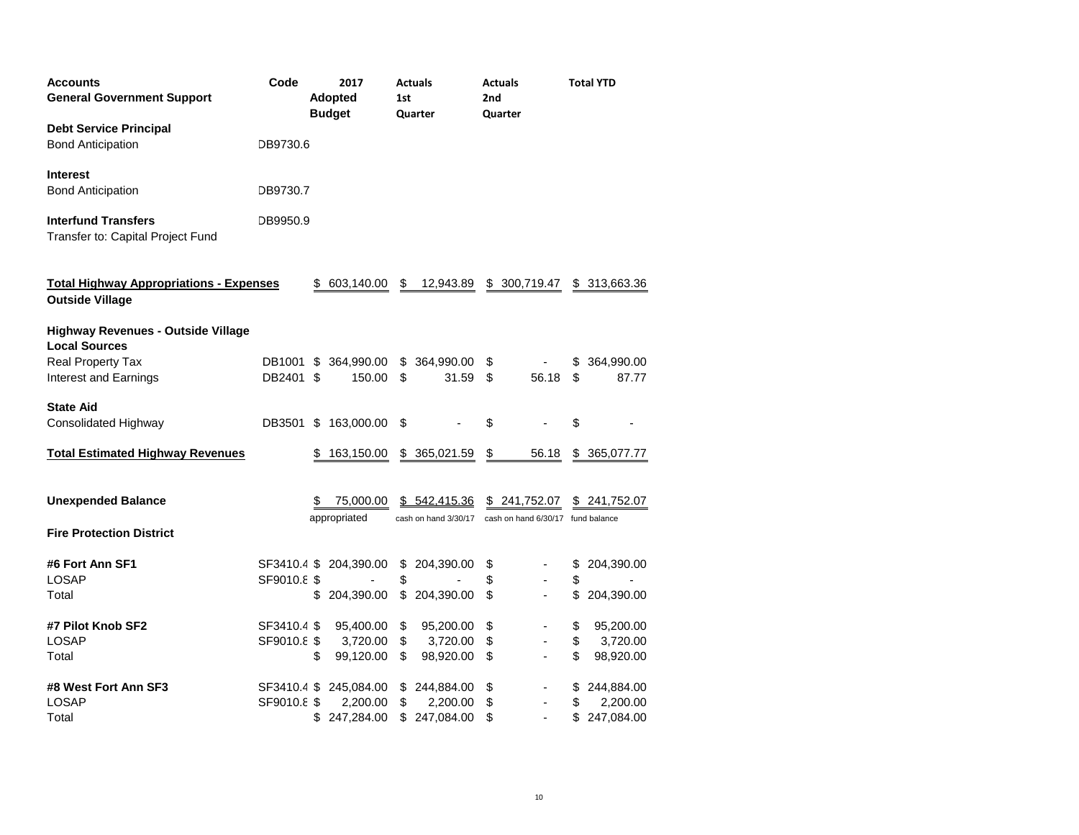| <b>Accounts</b><br><b>General Government Support</b>                                                            | Code                       | 2017<br><b>Adopted</b><br><b>Budget</b> |                                      | 1st            | <b>Actuals</b><br>Quarter            |                | <b>Actuals</b><br>2nd<br>Quarter                  |                | <b>Total YTD</b>                     |
|-----------------------------------------------------------------------------------------------------------------|----------------------------|-----------------------------------------|--------------------------------------|----------------|--------------------------------------|----------------|---------------------------------------------------|----------------|--------------------------------------|
| <b>Debt Service Principal</b><br><b>Bond Anticipation</b>                                                       | DB9730.6                   |                                         |                                      |                |                                      |                |                                                   |                |                                      |
| <b>Interest</b><br><b>Bond Anticipation</b>                                                                     | DB9730.7                   |                                         |                                      |                |                                      |                |                                                   |                |                                      |
| <b>Interfund Transfers</b><br>Transfer to: Capital Project Fund                                                 | DB9950.9                   |                                         |                                      |                |                                      |                |                                                   |                |                                      |
| <b>Total Highway Appropriations - Expenses</b><br><b>Outside Village</b>                                        |                            | S.                                      | 603,140.00                           | \$             | 12,943.89                            |                | \$ 300,719.47                                     |                | \$ 313,663.36                        |
| <b>Highway Revenues - Outside Village</b><br><b>Local Sources</b><br>Real Property Tax<br>Interest and Earnings | DB1001<br>DB2401 \$        | S                                       | 364,990.00<br>150.00                 | \$<br>\$       | 364,990.00<br>31.59                  | \$<br>\$       | 56.18                                             | \$<br>\$       | 364,990.00<br>87.77                  |
| <b>State Aid</b><br><b>Consolidated Highway</b>                                                                 | DB3501                     | \$                                      | 163,000.00                           | \$             |                                      | \$             |                                                   | \$             |                                      |
| <b>Total Estimated Highway Revenues</b>                                                                         |                            | S                                       | 163,150.00                           |                | \$ 365,021.59                        | \$             | 56.18                                             | \$             | 365,077.77                           |
| <b>Unexpended Balance</b>                                                                                       |                            | S                                       | 75,000.00<br>appropriated            |                | \$542,415.36<br>cash on hand 3/30/17 |                | \$241,752.07<br>cash on hand 6/30/17 fund balance | \$             | 241,752.07                           |
| <b>Fire Protection District</b>                                                                                 |                            |                                         |                                      |                |                                      |                |                                                   |                |                                      |
| #6 Fort Ann SF1<br><b>LOSAP</b><br>Total                                                                        | SF3410.4 \$<br>SF9010.8 \$ | \$                                      | 204,390.00<br>204,390.00             | \$<br>\$<br>\$ | 204,390.00<br>204,390.00             | \$<br>\$<br>\$ | ٠                                                 | \$<br>\$<br>\$ | 204,390.00<br>204,390.00             |
| #7 Pilot Knob SF2<br><b>LOSAP</b><br>Total                                                                      | SF3410.4 \$<br>SF9010.8 \$ | \$                                      | 95,400.00<br>3,720.00<br>99,120.00   | \$<br>\$<br>\$ | 95,200.00<br>3,720.00<br>98,920.00   | \$<br>\$<br>\$ |                                                   | \$<br>\$<br>\$ | 95,200.00<br>3,720.00<br>98,920.00   |
| #8 West Fort Ann SF3<br><b>LOSAP</b><br>Total                                                                   | SF3410.4 \$<br>SF9010.8 \$ |                                         | 245,084.00<br>2,200.00<br>247,284.00 | \$<br>\$<br>\$ | 244,884.00<br>2,200.00<br>247,084.00 | \$<br>\$<br>\$ |                                                   | \$<br>\$       | 244,884.00<br>2,200.00<br>247,084.00 |